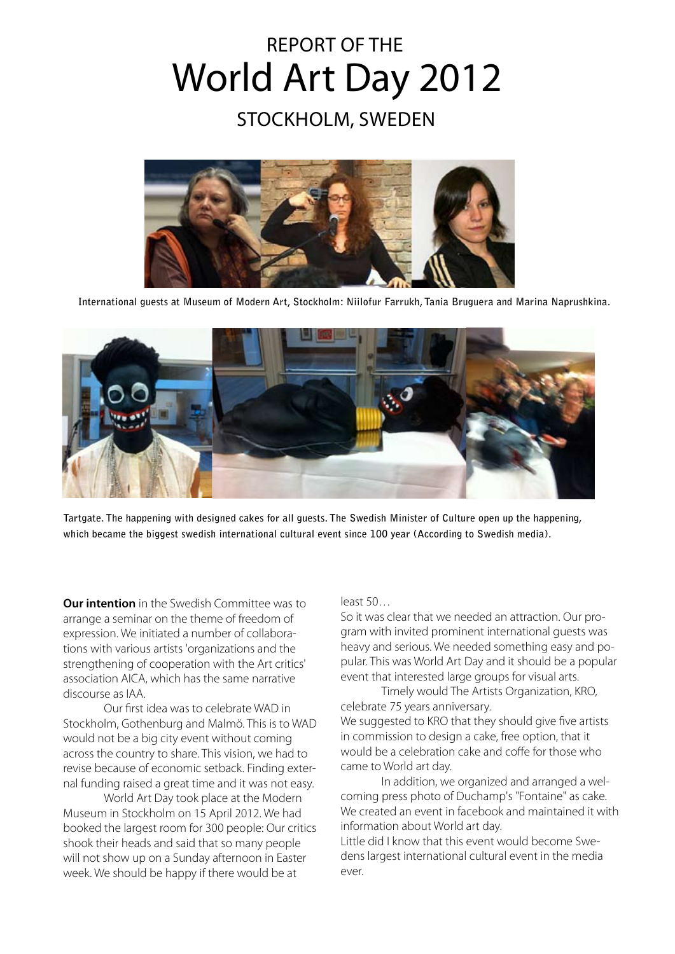# World Art Day 2012 Report of the

## Stockholm, Sweden



**International guests at Museum of Modern Art, Stockholm: Niilofur Farrukh, Tania Bruguera and Marina Naprushkina.**



**Tartgate. The happening with designed cakes for all guests. The Swedish Minister of Culture open up the happening, which became the biggest swedish international cultural event since 100 year (According to Swedish media).**

**Our intention** in the Swedish Committee was to arrange a seminar on the theme of freedom of expression. We initiated a number of collaborations with various artists 'organizations and the strengthening of cooperation with the Art critics' association AICA, which has the same narrative discourse as IAA.

Our first idea was to celebrate WAD in Stockholm, Gothenburg and Malmö. This is to WAD would not be a big city event without coming across the country to share. This vision, we had to revise because of economic setback. Finding external funding raised a great time and it was not easy.

World Art Day took place at the Modern Museum in Stockholm on 15 April 2012. We had booked the largest room for 300 people: Our critics shook their heads and said that so many people will not show up on a Sunday afternoon in Easter week. We should be happy if there would be at

#### least 50…

So it was clear that we needed an attraction. Our program with invited prominent international guests was heavy and serious. We needed something easy and popular. This was World Art Day and it should be a popular event that interested large groups for visual arts.

Timely would The Artists Organization, KRO, celebrate 75 years anniversary.

We suggested to KRO that they should give five artists in commission to design a cake, free option, that it would be a celebration cake and coffe for those who came to World art day.

In addition, we organized and arranged a welcoming press photo of Duchamp's "Fontaine" as cake. We created an event in facebook and maintained it with information about World art day.

Little did I know that this event would become Swedens largest international cultural event in the media ever.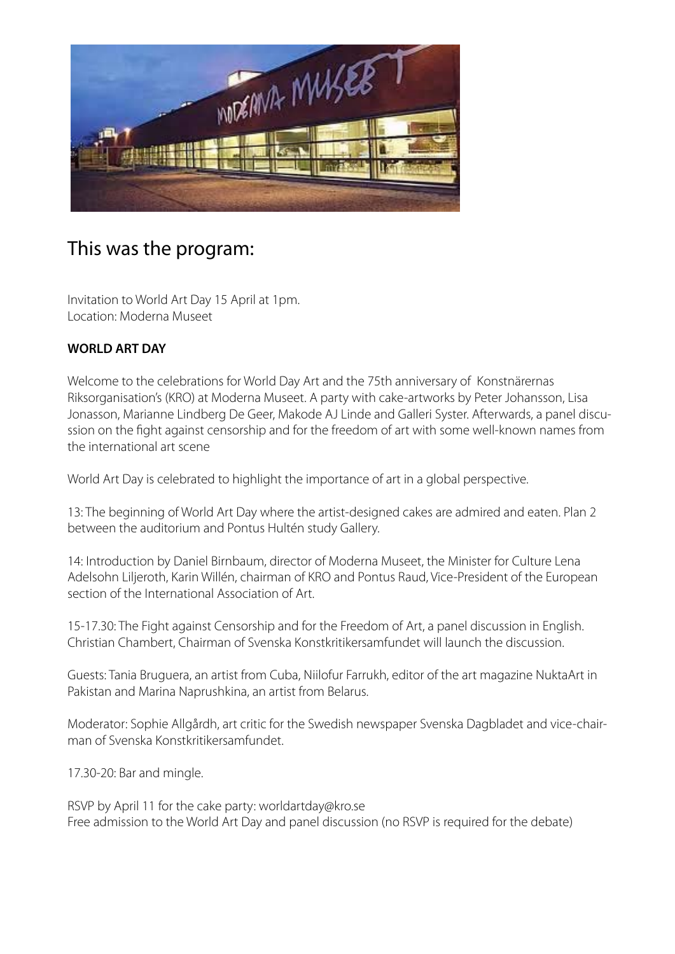

## This was the program:

Invitation to World Art Day 15 April at 1pm. Location: Moderna Museet

#### **WORLD ART DAY**

Welcome to the celebrations for World Day Art and the 75th anniversary of Konstnärernas Riksorganisation's (KRO) at Moderna Museet. A party with cake-artworks by Peter Johansson, Lisa Jonasson, Marianne Lindberg De Geer, Makode AJ Linde and Galleri Syster. Afterwards, a panel discussion on the fight against censorship and for the freedom of art with some well-known names from the international art scene

World Art Day is celebrated to highlight the importance of art in a global perspective.

13: The beginning of World Art Day where the artist-designed cakes are admired and eaten. Plan 2 between the auditorium and Pontus Hultén study Gallery.

14: Introduction by Daniel Birnbaum, director of Moderna Museet, the Minister for Culture Lena Adelsohn Liljeroth, Karin Willén, chairman of KRO and Pontus Raud, Vice-President of the European section of the International Association of Art.

15-17.30: The Fight against Censorship and for the Freedom of Art, a panel discussion in English. Christian Chambert, Chairman of Svenska Konstkritikersamfundet will launch the discussion.

Guests: Tania Bruguera, an artist from Cuba, Niilofur Farrukh, editor of the art magazine NuktaArt in Pakistan and Marina Naprushkina, an artist from Belarus.

Moderator: Sophie Allgårdh, art critic for the Swedish newspaper Svenska Dagbladet and vice-chairman of Svenska Konstkritikersamfundet.

17.30-20: Bar and mingle.

RSVP by April 11 for the cake party: worldartday@kro.se Free admission to the World Art Day and panel discussion (no RSVP is required for the debate)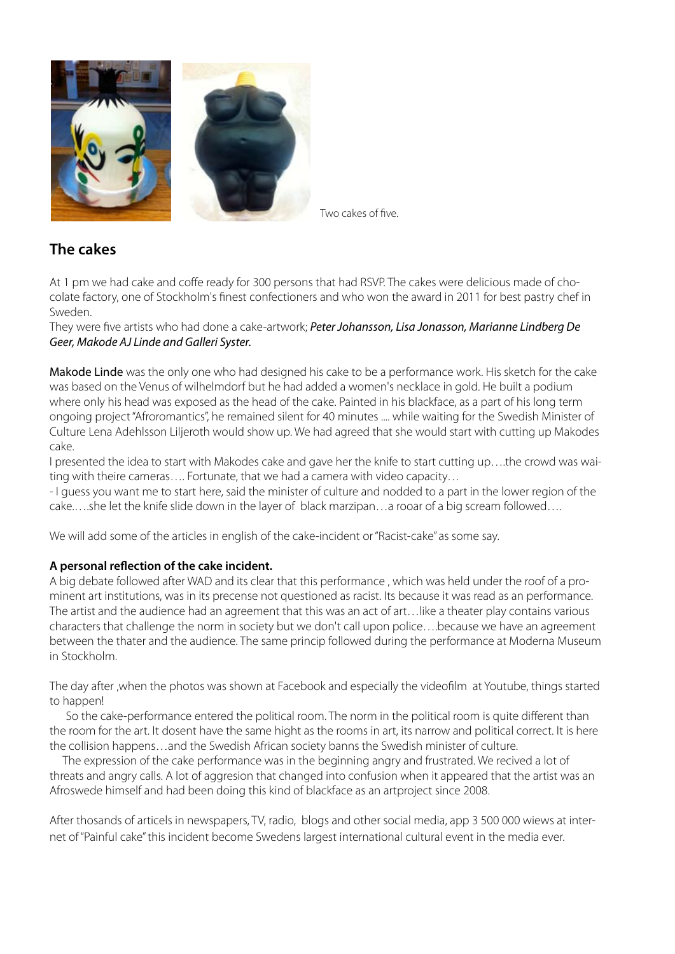

Two cakes of five.

#### **The cakes**

At 1 pm we had cake and coffe ready for 300 persons that had RSVP. The cakes were delicious made of chocolate factory, one of Stockholm's finest confectioners and who won the award in 2011 for best pastry chef in Sweden.

They were five artists who had done a cake-artwork; *Peter Johansson, Lisa Jonasson, Marianne Lindberg De Geer, Makode AJ Linde and Galleri Syster.*

Makode Linde was the only one who had designed his cake to be a performance work. His sketch for the cake was based on the Venus of wilhelmdorf but he had added a women's necklace in gold. He built a podium where only his head was exposed as the head of the cake. Painted in his blackface, as a part of his long term ongoing project "Afroromantics", he remained silent for 40 minutes .... while waiting for the Swedish Minister of Culture Lena Adehlsson Liljeroth would show up. We had agreed that she would start with cutting up Makodes cake.

I presented the idea to start with Makodes cake and gave her the knife to start cutting up….the crowd was waiting with theire cameras…. Fortunate, that we had a camera with video capacity…

- I guess you want me to start here, said the minister of culture and nodded to a part in the lower region of the cake.….she let the knife slide down in the layer of black marzipan…a rooar of a big scream followed….

We will add some of the articles in english of the cake-incident or "Racist-cake" as some say.

#### **A personal reflection of the cake incident.**

A big debate followed after WAD and its clear that this performance , which was held under the roof of a prominent art institutions, was in its precense not questioned as racist. Its because it was read as an performance. The artist and the audience had an agreement that this was an act of art…like a theater play contains various characters that challenge the norm in society but we don't call upon police….because we have an agreement between the thater and the audience. The same princip followed during the performance at Moderna Museum in Stockholm.

The day after ,when the photos was shown at Facebook and especially the videofilm at Youtube, things started to happen!

 So the cake-performance entered the political room. The norm in the political room is quite different than the room for the art. It dosent have the same hight as the rooms in art, its narrow and political correct. It is here the collision happens…and the Swedish African society banns the Swedish minister of culture.

 The expression of the cake performance was in the beginning angry and frustrated. We recived a lot of threats and angry calls. A lot of aggresion that changed into confusion when it appeared that the artist was an Afroswede himself and had been doing this kind of blackface as an artproject since 2008.

After thosands of articels in newspapers, TV, radio, blogs and other social media, app 3 500 000 wiews at internet of "Painful cake" this incident become Swedens largest international cultural event in the media ever.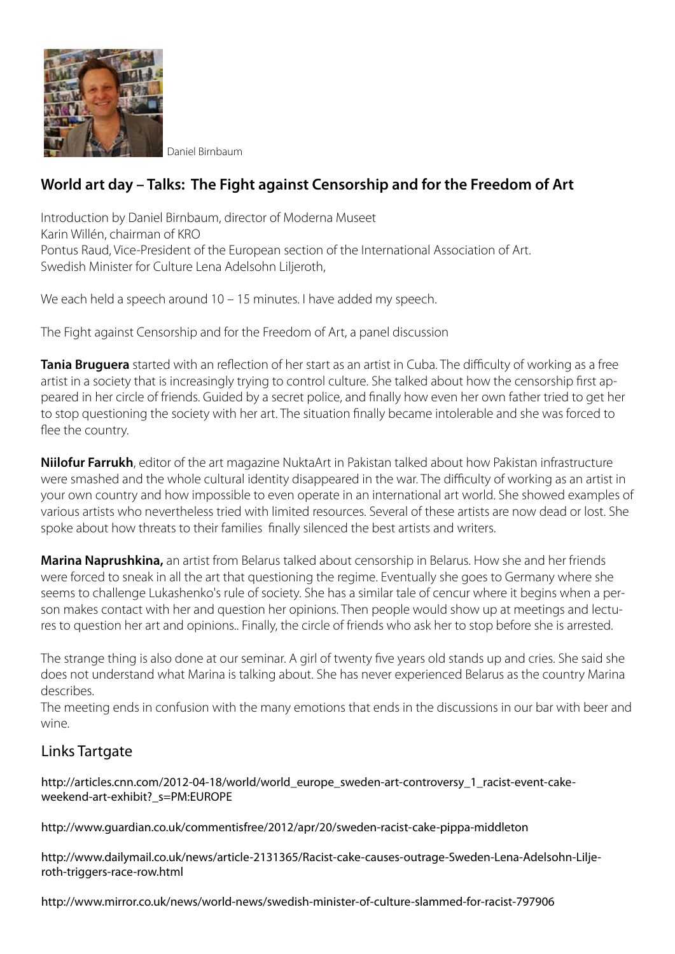

Daniel Birnbaum

### **World art day – Talks: The Fight against Censorship and for the Freedom of Art**

Introduction by Daniel Birnbaum, director of Moderna Museet Karin Willén, chairman of KRO Pontus Raud, Vice-President of the European section of the International Association of Art. Swedish Minister for Culture Lena Adelsohn Liljeroth,

We each held a speech around 10 – 15 minutes. I have added my speech.

The Fight against Censorship and for the Freedom of Art, a panel discussion

**Tania Bruguera** started with an reflection of her start as an artist in Cuba. The difficulty of working as a free artist in a society that is increasingly trying to control culture. She talked about how the censorship first appeared in her circle of friends. Guided by a secret police, and finally how even her own father tried to get her to stop questioning the society with her art. The situation finally became intolerable and she was forced to flee the country.

**Niilofur Farrukh**, editor of the art magazine NuktaArt in Pakistan talked about how Pakistan infrastructure were smashed and the whole cultural identity disappeared in the war. The difficulty of working as an artist in your own country and how impossible to even operate in an international art world. She showed examples of various artists who nevertheless tried with limited resources. Several of these artists are now dead or lost. She spoke about how threats to their families finally silenced the best artists and writers.

**Marina Naprushkina,** an artist from Belarus talked about censorship in Belarus. How she and her friends were forced to sneak in all the art that questioning the regime. Eventually she goes to Germany where she seems to challenge Lukashenko's rule of society. She has a similar tale of cencur where it begins when a person makes contact with her and question her opinions. Then people would show up at meetings and lectures to question her art and opinions.. Finally, the circle of friends who ask her to stop before she is arrested.

The strange thing is also done at our seminar. A girl of twenty five years old stands up and cries. She said she does not understand what Marina is talking about. She has never experienced Belarus as the country Marina describes.

The meeting ends in confusion with the many emotions that ends in the discussions in our bar with beer and wine.

#### Links Tartgate

http://articles.cnn.com/2012-04-18/world/world\_europe\_sweden-art-controversy\_1\_racist-event-cakeweekend-art-exhibit?\_s=PM:EUROPE

http://www.guardian.co.uk/commentisfree/2012/apr/20/sweden-racist-cake-pippa-middleton

http://www.dailymail.co.uk/news/article-2131365/Racist-cake-causes-outrage-Sweden-Lena-Adelsohn-Liljeroth-triggers-race-row.html

http://www.mirror.co.uk/news/world-news/swedish-minister-of-culture-slammed-for-racist-797906